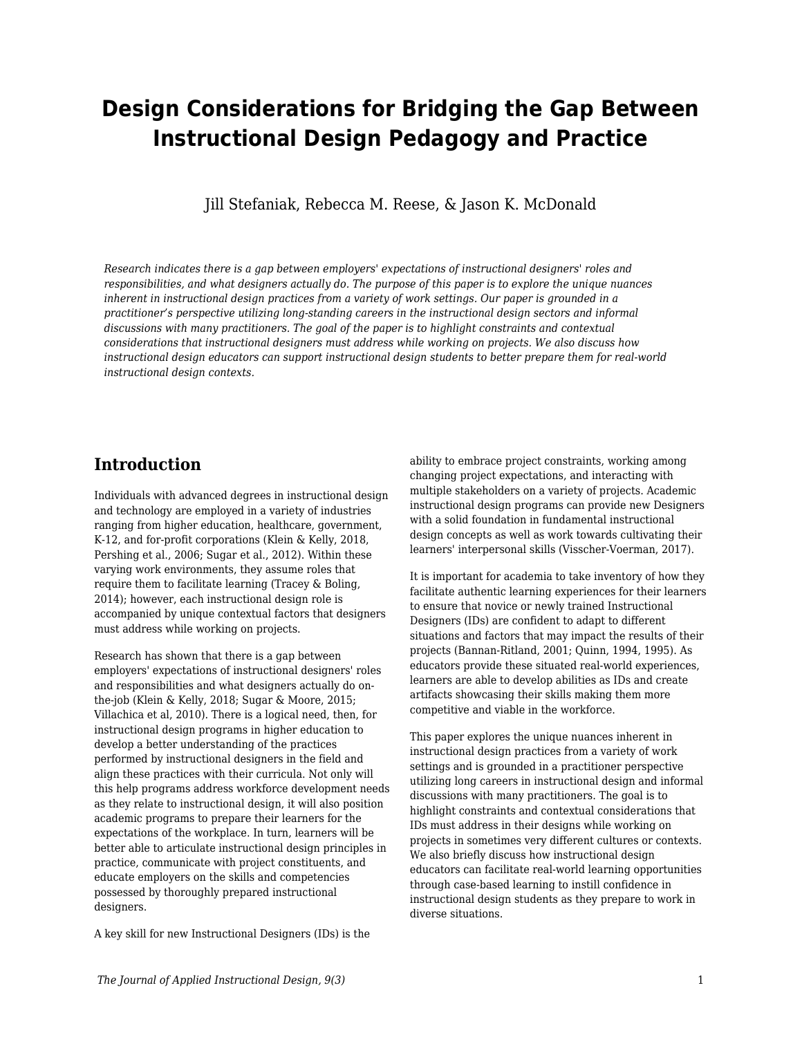# **Design Considerations for Bridging the Gap Between Instructional Design Pedagogy and Practice**

Jill Stefaniak, Rebecca M. Reese, & Jason K. McDonald

*Research indicates there is a gap between employers' expectations of instructional designers' roles and responsibilities, and what designers actually do. The purpose of this paper is to explore the unique nuances inherent in instructional design practices from a variety of work settings. Our paper is grounded in a practitioner's perspective utilizing long-standing careers in the instructional design sectors and informal discussions with many practitioners. The goal of the paper is to highlight constraints and contextual considerations that instructional designers must address while working on projects. We also discuss how instructional design educators can support instructional design students to better prepare them for real-world instructional design contexts.*

### **Introduction**

Individuals with advanced degrees in instructional design and technology are employed in a variety of industries ranging from higher education, healthcare, government, K-12, and for-profit corporations (Klein & Kelly, 2018, Pershing et al., 2006; Sugar et al., 2012). Within these varying work environments, they assume roles that require them to facilitate learning (Tracey & Boling, 2014); however, each instructional design role is accompanied by unique contextual factors that designers must address while working on projects.

Research has shown that there is a gap between employers' expectations of instructional designers' roles and responsibilities and what designers actually do onthe-job (Klein & Kelly, 2018; Sugar & Moore, 2015; Villachica et al, 2010). There is a logical need, then, for instructional design programs in higher education to develop a better understanding of the practices performed by instructional designers in the field and align these practices with their curricula. Not only will this help programs address workforce development needs as they relate to instructional design, it will also position academic programs to prepare their learners for the expectations of the workplace. In turn, learners will be better able to articulate instructional design principles in practice, communicate with project constituents, and educate employers on the skills and competencies possessed by thoroughly prepared instructional designers.

A key skill for new Instructional Designers (IDs) is the

ability to embrace project constraints, working among changing project expectations, and interacting with multiple stakeholders on a variety of projects. Academic instructional design programs can provide new Designers with a solid foundation in fundamental instructional design concepts as well as work towards cultivating their learners' interpersonal skills (Visscher-Voerman, 2017).

It is important for academia to take inventory of how they facilitate authentic learning experiences for their learners to ensure that novice or newly trained Instructional Designers (IDs) are confident to adapt to different situations and factors that may impact the results of their projects (Bannan-Ritland, 2001; Quinn, 1994, 1995). As educators provide these situated real-world experiences, learners are able to develop abilities as IDs and create artifacts showcasing their skills making them more competitive and viable in the workforce.

This paper explores the unique nuances inherent in instructional design practices from a variety of work settings and is grounded in a practitioner perspective utilizing long careers in instructional design and informal discussions with many practitioners. The goal is to highlight constraints and contextual considerations that IDs must address in their designs while working on projects in sometimes very different cultures or contexts. We also briefly discuss how instructional design educators can facilitate real-world learning opportunities through case-based learning to instill confidence in instructional design students as they prepare to work in diverse situations.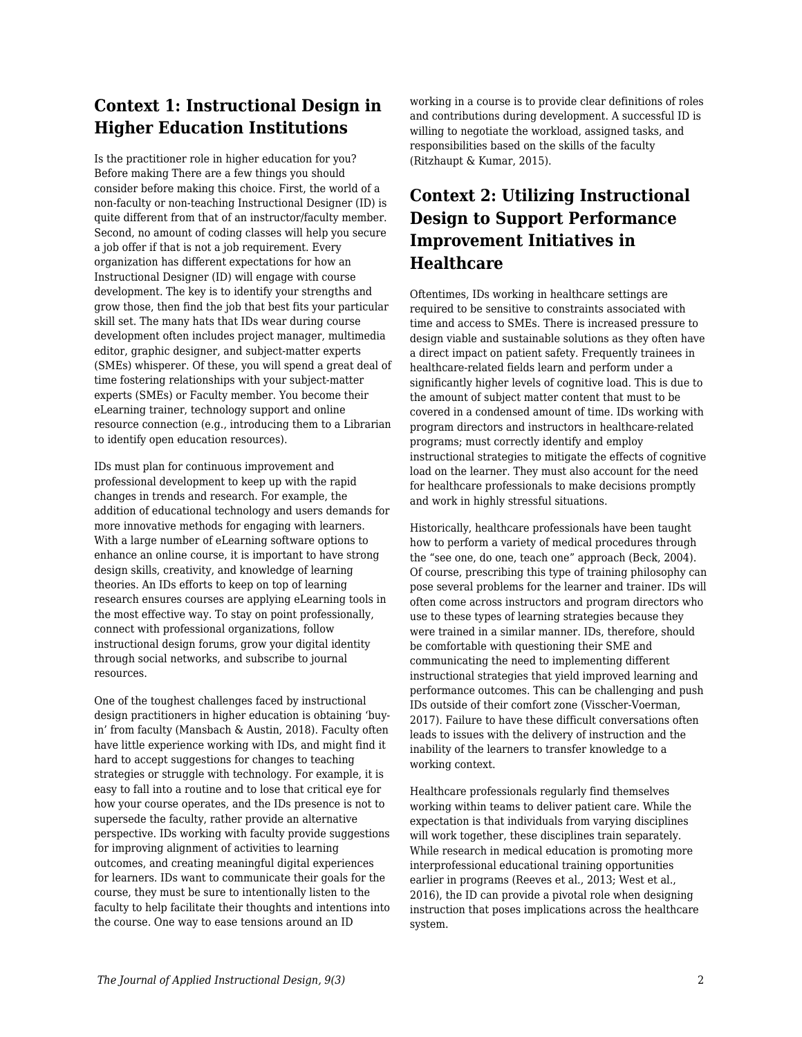### **Context 1: Instructional Design in Higher Education Institutions**

Is the practitioner role in higher education for you? Before making There are a few things you should consider before making this choice. First, the world of a non-faculty or non-teaching Instructional Designer (ID) is quite different from that of an instructor/faculty member. Second, no amount of coding classes will help you secure a job offer if that is not a job requirement. Every organization has different expectations for how an Instructional Designer (ID) will engage with course development. The key is to identify your strengths and grow those, then find the job that best fits your particular skill set. The many hats that IDs wear during course development often includes project manager, multimedia editor, graphic designer, and subject-matter experts (SMEs) whisperer. Of these, you will spend a great deal of time fostering relationships with your subject-matter experts (SMEs) or Faculty member. You become their eLearning trainer, technology support and online resource connection (e.g., introducing them to a Librarian to identify open education resources).

IDs must plan for continuous improvement and professional development to keep up with the rapid changes in trends and research. For example, the addition of educational technology and users demands for more innovative methods for engaging with learners. With a large number of eLearning software options to enhance an online course, it is important to have strong design skills, creativity, and knowledge of learning theories. An IDs efforts to keep on top of learning research ensures courses are applying eLearning tools in the most effective way. To stay on point professionally, connect with professional organizations, follow instructional design forums, grow your digital identity through social networks, and subscribe to journal resources.

One of the toughest challenges faced by instructional design practitioners in higher education is obtaining 'buyin' from faculty (Mansbach & Austin, 2018). Faculty often have little experience working with IDs, and might find it hard to accept suggestions for changes to teaching strategies or struggle with technology. For example, it is easy to fall into a routine and to lose that critical eye for how your course operates, and the IDs presence is not to supersede the faculty, rather provide an alternative perspective. IDs working with faculty provide suggestions for improving alignment of activities to learning outcomes, and creating meaningful digital experiences for learners. IDs want to communicate their goals for the course, they must be sure to intentionally listen to the faculty to help facilitate their thoughts and intentions into the course. One way to ease tensions around an ID

working in a course is to provide clear definitions of roles and contributions during development. A successful ID is willing to negotiate the workload, assigned tasks, and responsibilities based on the skills of the faculty (Ritzhaupt & Kumar, 2015).

### **Context 2: Utilizing Instructional Design to Support Performance Improvement Initiatives in Healthcare**

Oftentimes, IDs working in healthcare settings are required to be sensitive to constraints associated with time and access to SMEs. There is increased pressure to design viable and sustainable solutions as they often have a direct impact on patient safety. Frequently trainees in healthcare-related fields learn and perform under a significantly higher levels of cognitive load. This is due to the amount of subject matter content that must to be covered in a condensed amount of time. IDs working with program directors and instructors in healthcare-related programs; must correctly identify and employ instructional strategies to mitigate the effects of cognitive load on the learner. They must also account for the need for healthcare professionals to make decisions promptly and work in highly stressful situations.

Historically, healthcare professionals have been taught how to perform a variety of medical procedures through the "see one, do one, teach one" approach (Beck, 2004). Of course, prescribing this type of training philosophy can pose several problems for the learner and trainer. IDs will often come across instructors and program directors who use to these types of learning strategies because they were trained in a similar manner. IDs, therefore, should be comfortable with questioning their SME and communicating the need to implementing different instructional strategies that yield improved learning and performance outcomes. This can be challenging and push IDs outside of their comfort zone (Visscher-Voerman, 2017). Failure to have these difficult conversations often leads to issues with the delivery of instruction and the inability of the learners to transfer knowledge to a working context.

Healthcare professionals regularly find themselves working within teams to deliver patient care. While the expectation is that individuals from varying disciplines will work together, these disciplines train separately. While research in medical education is promoting more interprofessional educational training opportunities earlier in programs (Reeves et al., 2013; West et al., 2016), the ID can provide a pivotal role when designing instruction that poses implications across the healthcare system.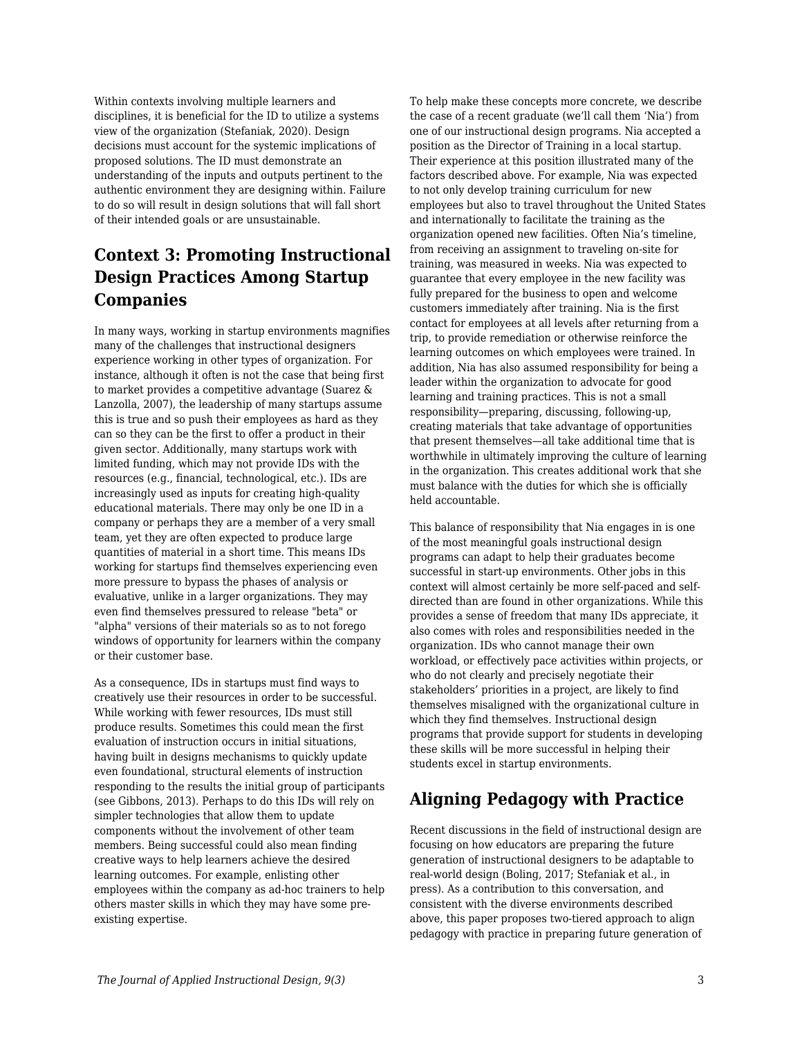Within contexts involving multiple learners and disciplines, it is beneficial for the ID to utilize a systems view of the organization (Stefaniak, 2020). Design decisions must account for the systemic implications of proposed solutions. The ID must demonstrate an understanding of the inputs and outputs pertinent to the authentic environment they are designing within. Failure to do so will result in design solutions that will fall short of their intended goals or are unsustainable.

## **Context 3: Promoting Instructional Design Practices Among Startup Companies**

In many ways, working in startup environments magnifies many of the challenges that instructional designers experience working in other types of organization. For instance, although it often is not the case that being first to market provides a competitive advantage (Suarez & Lanzolla, 2007), the leadership of many startups assume this is true and so push their employees as hard as they can so they can be the first to offer a product in their given sector. Additionally, many startups work with limited funding, which may not provide IDs with the resources (e.g., financial, technological, etc.). IDs are increasingly used as inputs for creating high-quality educational materials. There may only be one ID in a company or perhaps they are a member of a very small team, yet they are often expected to produce large quantities of material in a short time. This means IDs working for startups find themselves experiencing even more pressure to bypass the phases of analysis or evaluative, unlike in a larger organizations. They may even find themselves pressured to release "beta" or "alpha" versions of their materials so as to not forego windows of opportunity for learners within the company or their customer base.

As a consequence, IDs in startups must find ways to creatively use their resources in order to be successful. While working with fewer resources, IDs must still produce results. Sometimes this could mean the first evaluation of instruction occurs in initial situations, having built in designs mechanisms to quickly update even foundational, structural elements of instruction responding to the results the initial group of participants (see Gibbons, 2013). Perhaps to do this IDs will rely on simpler technologies that allow them to update components without the involvement of other team members. Being successful could also mean finding creative ways to help learners achieve the desired learning outcomes. For example, enlisting other employees within the company as ad-hoc trainers to help others master skills in which they may have some preexisting expertise.

To help make these concepts more concrete, we describe the case of a recent graduate (we'll call them 'Nia') from one of our instructional design programs. Nia accepted a position as the Director of Training in a local startup. Their experience at this position illustrated many of the factors described above. For example, Nia was expected to not only develop training curriculum for new employees but also to travel throughout the United States and internationally to facilitate the training as the organization opened new facilities. Often Nia's timeline, from receiving an assignment to traveling on-site for training, was measured in weeks. Nia was expected to guarantee that every employee in the new facility was fully prepared for the business to open and welcome customers immediately after training. Nia is the first contact for employees at all levels after returning from a trip, to provide remediation or otherwise reinforce the learning outcomes on which employees were trained. In addition, Nia has also assumed responsibility for being a leader within the organization to advocate for good learning and training practices. This is not a small responsibility—preparing, discussing, following-up, creating materials that take advantage of opportunities that present themselves—all take additional time that is worthwhile in ultimately improving the culture of learning in the organization. This creates additional work that she must balance with the duties for which she is officially held accountable.

This balance of responsibility that Nia engages in is one of the most meaningful goals instructional design programs can adapt to help their graduates become successful in start-up environments. Other jobs in this context will almost certainly be more self-paced and selfdirected than are found in other organizations. While this provides a sense of freedom that many IDs appreciate, it also comes with roles and responsibilities needed in the organization. IDs who cannot manage their own workload, or effectively pace activities within projects, or who do not clearly and precisely negotiate their stakeholders' priorities in a project, are likely to find themselves misaligned with the organizational culture in which they find themselves. Instructional design programs that provide support for students in developing these skills will be more successful in helping their students excel in startup environments.

## **Aligning Pedagogy with Practice**

Recent discussions in the field of instructional design are focusing on how educators are preparing the future generation of instructional designers to be adaptable to real-world design (Boling, 2017; Stefaniak et al., in press). As a contribution to this conversation, and consistent with the diverse environments described above, this paper proposes two-tiered approach to align pedagogy with practice in preparing future generation of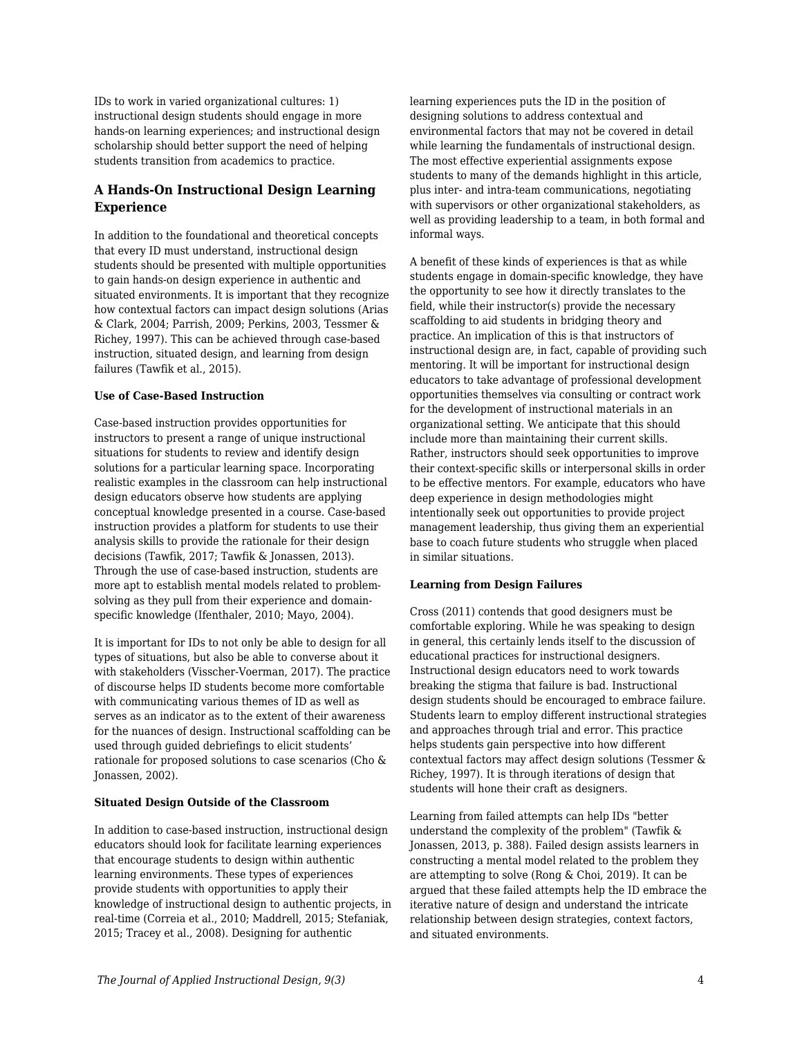IDs to work in varied organizational cultures: 1) instructional design students should engage in more hands-on learning experiences; and instructional design scholarship should better support the need of helping students transition from academics to practice.

### **A Hands-On Instructional Design Learning Experience**

In addition to the foundational and theoretical concepts that every ID must understand, instructional design students should be presented with multiple opportunities to gain hands-on design experience in authentic and situated environments. It is important that they recognize how contextual factors can impact design solutions (Arias & Clark, 2004; Parrish, 2009; Perkins, 2003, Tessmer & Richey, 1997). This can be achieved through case-based instruction, situated design, and learning from design failures (Tawfik et al., 2015).

#### **Use of Case-Based Instruction**

Case-based instruction provides opportunities for instructors to present a range of unique instructional situations for students to review and identify design solutions for a particular learning space. Incorporating realistic examples in the classroom can help instructional design educators observe how students are applying conceptual knowledge presented in a course. Case-based instruction provides a platform for students to use their analysis skills to provide the rationale for their design decisions (Tawfik, 2017; Tawfik & Jonassen, 2013). Through the use of case-based instruction, students are more apt to establish mental models related to problemsolving as they pull from their experience and domainspecific knowledge (Ifenthaler, 2010; Mayo, 2004).

It is important for IDs to not only be able to design for all types of situations, but also be able to converse about it with stakeholders (Visscher-Voerman, 2017). The practice of discourse helps ID students become more comfortable with communicating various themes of ID as well as serves as an indicator as to the extent of their awareness for the nuances of design. Instructional scaffolding can be used through guided debriefings to elicit students' rationale for proposed solutions to case scenarios (Cho & Jonassen, 2002).

#### **Situated Design Outside of the Classroom**

In addition to case-based instruction, instructional design educators should look for facilitate learning experiences that encourage students to design within authentic learning environments. These types of experiences provide students with opportunities to apply their knowledge of instructional design to authentic projects, in real-time (Correia et al., 2010; Maddrell, 2015; Stefaniak, 2015; Tracey et al., 2008). Designing for authentic

learning experiences puts the ID in the position of designing solutions to address contextual and environmental factors that may not be covered in detail while learning the fundamentals of instructional design. The most effective experiential assignments expose students to many of the demands highlight in this article, plus inter- and intra-team communications, negotiating with supervisors or other organizational stakeholders, as well as providing leadership to a team, in both formal and informal ways.

A benefit of these kinds of experiences is that as while students engage in domain-specific knowledge, they have the opportunity to see how it directly translates to the field, while their instructor(s) provide the necessary scaffolding to aid students in bridging theory and practice. An implication of this is that instructors of instructional design are, in fact, capable of providing such mentoring. It will be important for instructional design educators to take advantage of professional development opportunities themselves via consulting or contract work for the development of instructional materials in an organizational setting. We anticipate that this should include more than maintaining their current skills. Rather, instructors should seek opportunities to improve their context-specific skills or interpersonal skills in order to be effective mentors. For example, educators who have deep experience in design methodologies might intentionally seek out opportunities to provide project management leadership, thus giving them an experiential base to coach future students who struggle when placed in similar situations.

#### **Learning from Design Failures**

Cross (2011) contends that good designers must be comfortable exploring. While he was speaking to design in general, this certainly lends itself to the discussion of educational practices for instructional designers. Instructional design educators need to work towards breaking the stigma that failure is bad. Instructional design students should be encouraged to embrace failure. Students learn to employ different instructional strategies and approaches through trial and error. This practice helps students gain perspective into how different contextual factors may affect design solutions (Tessmer & Richey, 1997). It is through iterations of design that students will hone their craft as designers.

Learning from failed attempts can help IDs "better understand the complexity of the problem" (Tawfik & Jonassen, 2013, p. 388). Failed design assists learners in constructing a mental model related to the problem they are attempting to solve (Rong & Choi, 2019). It can be argued that these failed attempts help the ID embrace the iterative nature of design and understand the intricate relationship between design strategies, context factors, and situated environments.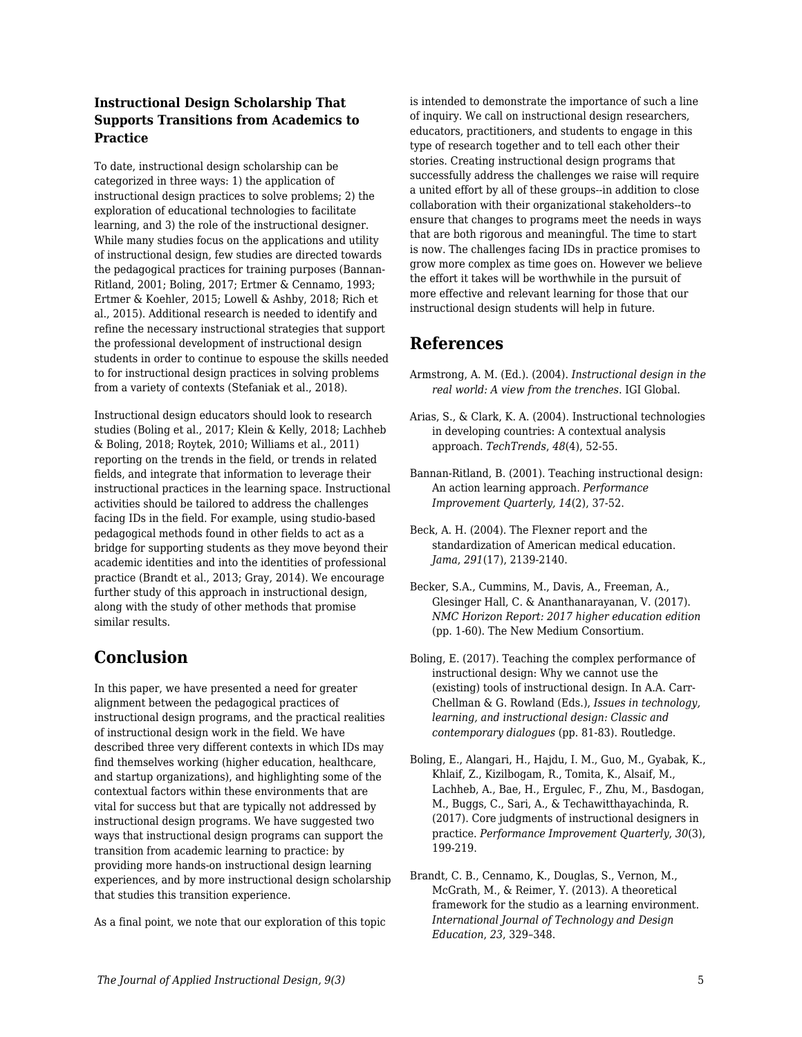### **Instructional Design Scholarship That Supports Transitions from Academics to Practice**

To date, instructional design scholarship can be categorized in three ways: 1) the application of instructional design practices to solve problems; 2) the exploration of educational technologies to facilitate learning, and 3) the role of the instructional designer. While many studies focus on the applications and utility of instructional design, few studies are directed towards the pedagogical practices for training purposes (Bannan-Ritland, 2001; Boling, 2017; Ertmer & Cennamo, 1993; Ertmer & Koehler, 2015; Lowell & Ashby, 2018; Rich et al., 2015). Additional research is needed to identify and refine the necessary instructional strategies that support the professional development of instructional design students in order to continue to espouse the skills needed to for instructional design practices in solving problems from a variety of contexts (Stefaniak et al., 2018).

Instructional design educators should look to research studies (Boling et al., 2017; Klein & Kelly, 2018; Lachheb & Boling, 2018; Roytek, 2010; Williams et al., 2011) reporting on the trends in the field, or trends in related fields, and integrate that information to leverage their instructional practices in the learning space. Instructional activities should be tailored to address the challenges facing IDs in the field. For example, using studio-based pedagogical methods found in other fields to act as a bridge for supporting students as they move beyond their academic identities and into the identities of professional practice (Brandt et al., 2013; Gray, 2014). We encourage further study of this approach in instructional design, along with the study of other methods that promise similar results.

### **Conclusion**

In this paper, we have presented a need for greater alignment between the pedagogical practices of instructional design programs, and the practical realities of instructional design work in the field. We have described three very different contexts in which IDs may find themselves working (higher education, healthcare, and startup organizations), and highlighting some of the contextual factors within these environments that are vital for success but that are typically not addressed by instructional design programs. We have suggested two ways that instructional design programs can support the transition from academic learning to practice: by providing more hands-on instructional design learning experiences, and by more instructional design scholarship that studies this transition experience.

As a final point, we note that our exploration of this topic

is intended to demonstrate the importance of such a line of inquiry. We call on instructional design researchers, educators, practitioners, and students to engage in this type of research together and to tell each other their stories. Creating instructional design programs that successfully address the challenges we raise will require a united effort by all of these groups--in addition to close collaboration with their organizational stakeholders--to ensure that changes to programs meet the needs in ways that are both rigorous and meaningful. The time to start is now. The challenges facing IDs in practice promises to grow more complex as time goes on. However we believe the effort it takes will be worthwhile in the pursuit of more effective and relevant learning for those that our instructional design students will help in future.

### **References**

- Armstrong, A. M. (Ed.). (2004). *Instructional design in the real world: A view from the trenches*. IGI Global.
- Arias, S., & Clark, K. A. (2004). Instructional technologies in developing countries: A contextual analysis approach. *TechTrends*, *48*(4), 52-55.
- Bannan-Ritland, B. (2001). Teaching instructional design: An action learning approach. *Performance Improvement Quarterly, 14*(2), 37-52.
- Beck, A. H. (2004). The Flexner report and the standardization of American medical education. *Jama*, *291*(17), 2139-2140.
- Becker, S.A., Cummins, M., Davis, A., Freeman, A., Glesinger Hall, C. & Ananthanarayanan, V. (2017). *NMC Horizon Report: 2017 higher education edition* (pp. 1-60). The New Medium Consortium.
- Boling, E. (2017). Teaching the complex performance of instructional design: Why we cannot use the (existing) tools of instructional design. In A.A. Carr-Chellman & G. Rowland (Eds.), *Issues in technology, learning, and instructional design: Classic and contemporary dialogues* (pp. 81-83). Routledge.
- Boling, E., Alangari, H., Hajdu, I. M., Guo, M., Gyabak, K., Khlaif, Z., Kizilbogam, R., Tomita, K., Alsaif, M., Lachheb, A., Bae, H., Ergulec, F., Zhu, M., Basdogan, M., Buggs, C., Sari, A., & Techawitthayachinda, R. (2017). Core judgments of instructional designers in practice. *Performance Improvement Quarterly*, *30*(3), 199-219.
- Brandt, C. B., Cennamo, K., Douglas, S., Vernon, M., McGrath, M., & Reimer, Y. (2013). A theoretical framework for the studio as a learning environment. *International Journal of Technology and Design Education*, *23*, 329–348.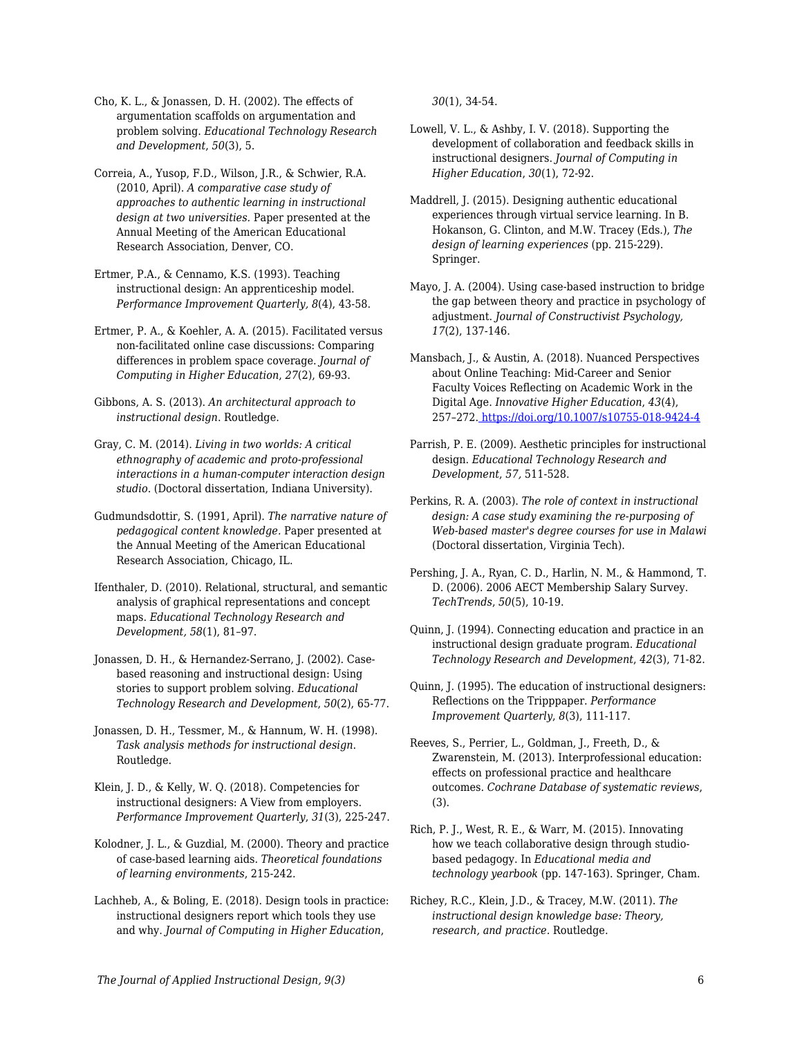Cho, K. L., & Jonassen, D. H. (2002). The effects of argumentation scaffolds on argumentation and problem solving. *Educational Technology Research and Development*, *50*(3), 5.

Correia, A., Yusop, F.D., Wilson, J.R., & Schwier, R.A. (2010, April). *A comparative case study of approaches to authentic learning in instructional design at two universities.* Paper presented at the Annual Meeting of the American Educational Research Association, Denver, CO.

Ertmer, P.A., & Cennamo, K.S. (1993). Teaching instructional design: An apprenticeship model. *Performance Improvement Quarterly, 8*(4), 43-58.

Ertmer, P. A., & Koehler, A. A. (2015). Facilitated versus non-facilitated online case discussions: Comparing differences in problem space coverage. *Journal of Computing in Higher Education*, *27*(2), 69-93.

Gibbons, A. S. (2013). *An architectural approach to instructional design*. Routledge.

Gray, C. M. (2014). *Living in two worlds: A critical ethnography of academic and proto-professional interactions in a human-computer interaction design studio*. (Doctoral dissertation, Indiana University).

Gudmundsdottir, S. (1991, April). *The narrative nature of pedagogical content knowledge.* Paper presented at the Annual Meeting of the American Educational Research Association, Chicago, IL.

Ifenthaler, D. (2010). Relational, structural, and semantic analysis of graphical representations and concept maps. *Educational Technology Research and Development, 58*(1), 81–97.

Jonassen, D. H., & Hernandez-Serrano, J. (2002). Casebased reasoning and instructional design: Using stories to support problem solving. *Educational Technology Research and Development*, *50*(2), 65-77.

Jonassen, D. H., Tessmer, M., & Hannum, W. H. (1998). *Task analysis methods for instructional design*. Routledge.

Klein, J. D., & Kelly, W. Q. (2018). Competencies for instructional designers: A View from employers. *Performance Improvement Quarterly*, *31*(3), 225-247.

Kolodner, J. L., & Guzdial, M. (2000). Theory and practice of case-based learning aids. *Theoretical foundations of learning environments*, 215-242.

Lachheb, A., & Boling, E. (2018). Design tools in practice: instructional designers report which tools they use and why. *Journal of Computing in Higher Education*,

*30*(1), 34-54.

Lowell, V. L., & Ashby, I. V. (2018). Supporting the development of collaboration and feedback skills in instructional designers. *Journal of Computing in Higher Education*, *30*(1), 72-92.

Maddrell, J. (2015). Designing authentic educational experiences through virtual service learning. In B. Hokanson, G. Clinton, and M.W. Tracey (Eds.), *The design of learning experiences* (pp. 215-229). Springer.

Mayo, J. A. (2004). Using case-based instruction to bridge the gap between theory and practice in psychology of adjustment. *Journal of Constructivist Psychology, 17*(2), 137-146.

Mansbach, J., & Austin, A. (2018). Nuanced Perspectives about Online Teaching: Mid-Career and Senior Faculty Voices Reflecting on Academic Work in the Digital Age. *Innovative Higher Education*, *43*(4), 257–272.<https://doi.org/10.1007/s10755-018-9424-4>

Parrish, P. E. (2009). Aesthetic principles for instructional design. *Educational Technology Research and Development*, *57,* 511-528.

Perkins, R. A. (2003). *The role of context in instructional design: A case study examining the re-purposing of Web-based master's degree courses for use in Malawi* (Doctoral dissertation, Virginia Tech).

Pershing, J. A., Ryan, C. D., Harlin, N. M., & Hammond, T. D. (2006). 2006 AECT Membership Salary Survey. *TechTrends*, *50*(5), 10-19.

Quinn, J. (1994). Connecting education and practice in an instructional design graduate program. *Educational Technology Research and Development*, *42*(3), 71-82.

Quinn, J. (1995). The education of instructional designers: Reflections on the Tripppaper. *Performance Improvement Quarterly*, *8*(3), 111-117.

Reeves, S., Perrier, L., Goldman, J., Freeth, D., & Zwarenstein, M. (2013). Interprofessional education: effects on professional practice and healthcare outcomes. *Cochrane Database of systematic reviews*, (3).

Rich, P. J., West, R. E., & Warr, M. (2015). Innovating how we teach collaborative design through studiobased pedagogy. In *Educational media and technology yearbook* (pp. 147-163). Springer, Cham.

Richey, R.C., Klein, J.D., & Tracey, M.W. (2011). *The instructional design knowledge base: Theory, research, and practice.* Routledge.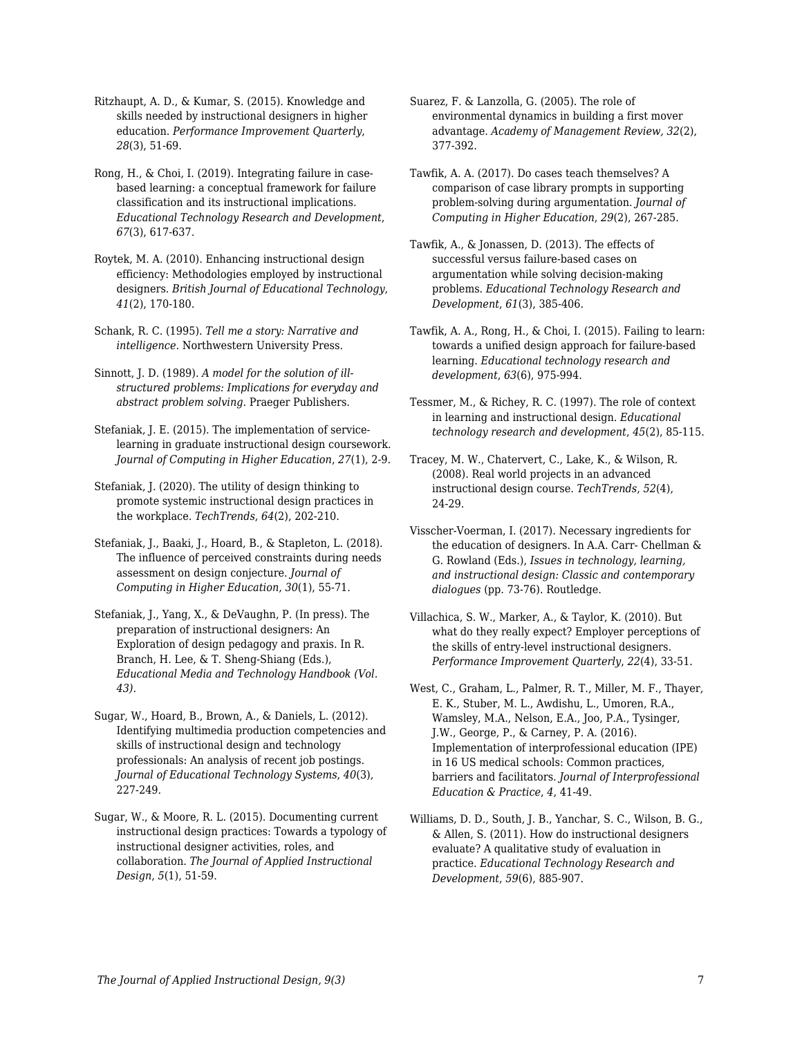Ritzhaupt, A. D., & Kumar, S. (2015). Knowledge and skills needed by instructional designers in higher education. *Performance Improvement Quarterly*, *28*(3), 51-69.

Rong, H., & Choi, I. (2019). Integrating failure in casebased learning: a conceptual framework for failure classification and its instructional implications. *Educational Technology Research and Development*, *67*(3), 617-637.

Roytek, M. A. (2010). Enhancing instructional design efficiency: Methodologies employed by instructional designers. *British Journal of Educational Technology*, *41*(2), 170-180.

Schank, R. C. (1995). *Tell me a story: Narrative and intelligence*. Northwestern University Press.

Sinnott, J. D. (1989). *A model for the solution of illstructured problems: Implications for everyday and abstract problem solving*. Praeger Publishers.

Stefaniak, J. E. (2015). The implementation of servicelearning in graduate instructional design coursework. *Journal of Computing in Higher Education*, *27*(1), 2-9.

Stefaniak, J. (2020). The utility of design thinking to promote systemic instructional design practices in the workplace. *TechTrends*, *64*(2), 202-210.

Stefaniak, J., Baaki, J., Hoard, B., & Stapleton, L. (2018). The influence of perceived constraints during needs assessment on design conjecture. *Journal of Computing in Higher Education*, *30*(1), 55-71.

Stefaniak, J., Yang, X., & DeVaughn, P. (In press). The preparation of instructional designers: An Exploration of design pedagogy and praxis. In R. Branch, H. Lee, & T. Sheng-Shiang (Eds.), *Educational Media and Technology Handbook (Vol. 43).*

Sugar, W., Hoard, B., Brown, A., & Daniels, L. (2012). Identifying multimedia production competencies and skills of instructional design and technology professionals: An analysis of recent job postings. *Journal of Educational Technology Systems*, *40*(3), 227-249.

Sugar, W., & Moore, R. L. (2015). Documenting current instructional design practices: Towards a typology of instructional designer activities, roles, and collaboration. *The Journal of Applied Instructional Design*, *5*(1), 51-59.

Suarez, F. & Lanzolla, G. (2005). The role of environmental dynamics in building a first mover advantage. *Academy of Management Review, 32*(2), 377-392.

Tawfik, A. A. (2017). Do cases teach themselves? A comparison of case library prompts in supporting problem-solving during argumentation. *Journal of Computing in Higher Education*, *29*(2), 267-285.

Tawfik, A., & Jonassen, D. (2013). The effects of successful versus failure-based cases on argumentation while solving decision-making problems. *Educational Technology Research and Development*, *61*(3), 385-406.

Tawfik, A. A., Rong, H., & Choi, I. (2015). Failing to learn: towards a unified design approach for failure-based learning. *Educational technology research and development*, *63*(6), 975-994.

Tessmer, M., & Richey, R. C. (1997). The role of context in learning and instructional design. *Educational technology research and development*, *45*(2), 85-115.

Tracey, M. W., Chatervert, C., Lake, K., & Wilson, R. (2008). Real world projects in an advanced instructional design course. *TechTrends*, *52*(4), 24-29.

Visscher-Voerman, I. (2017). Necessary ingredients for the education of designers. In A.A. Carr- Chellman & G. Rowland (Eds.), *Issues in technology, learning, and instructional design: Classic and contemporary dialogues* (pp. 73-76). Routledge.

Villachica, S. W., Marker, A., & Taylor, K. (2010). But what do they really expect? Employer perceptions of the skills of entry‐level instructional designers. *Performance Improvement Quarterly*, *22*(4), 33-51.

West, C., Graham, L., Palmer, R. T., Miller, M. F., Thayer, E. K., Stuber, M. L., Awdishu, L., Umoren, R.A., Wamsley, M.A., Nelson, E.A., Joo, P.A., Tysinger, J.W., George, P., & Carney, P. A. (2016). Implementation of interprofessional education (IPE) in 16 US medical schools: Common practices, barriers and facilitators. *Journal of Interprofessional Education & Practice*, *4*, 41-49.

Williams, D. D., South, J. B., Yanchar, S. C., Wilson, B. G., & Allen, S. (2011). How do instructional designers evaluate? A qualitative study of evaluation in practice. *Educational Technology Research and Development*, *59*(6), 885-907.